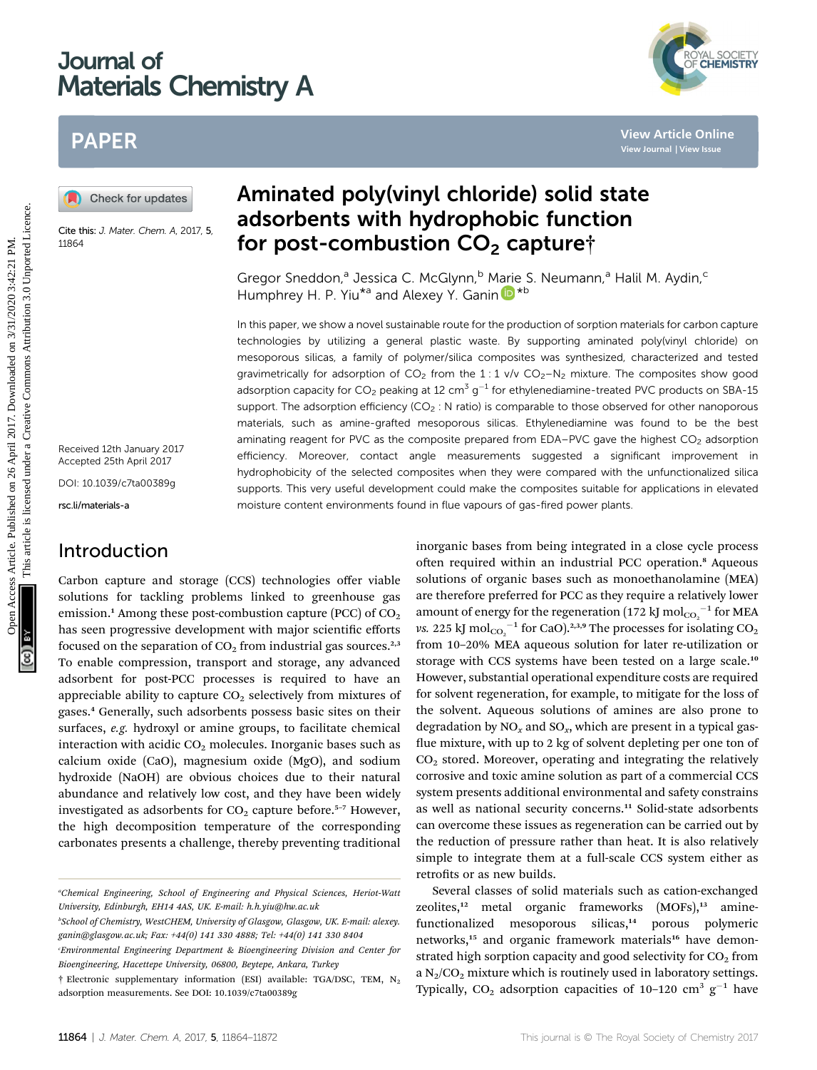# Journal of Materials Chemistry A



# PAPER

Cite this: J. Mater. Chem. A, 2017, 5, 11864

Received 12th January 2017 Accepted 25th April 2017

DOI: 10.1039/c7ta00389g

rsc.li/materials-a

## Introduction

Carbon capture and storage (CCS) technologies offer viable solutions for tackling problems linked to greenhouse gas emission.<sup>1</sup> Among these post-combustion capture (PCC) of  $CO<sub>2</sub>$ has seen progressive development with major scientific efforts focused on the separation of  $CO<sub>2</sub>$  from industrial gas sources.<sup>2,3</sup> To enable compression, transport and storage, any advanced adsorbent for post-PCC processes is required to have an appreciable ability to capture  $CO<sub>2</sub>$  selectively from mixtures of gases.<sup>4</sup> Generally, such adsorbents possess basic sites on their surfaces, e.g. hydroxyl or amine groups, to facilitate chemical interaction with acidic  $CO<sub>2</sub>$  molecules. Inorganic bases such as calcium oxide (CaO), magnesium oxide (MgO), and sodium hydroxide (NaOH) are obvious choices due to their natural abundance and relatively low cost, and they have been widely investigated as adsorbents for  $CO<sub>2</sub>$  capture before.<sup>5-7</sup> However, the high decomposition temperature of the corresponding carbonates presents a challenge, thereby preventing traditional

# Aminated poly(vinyl chloride) solid state adsorbents with hydrophobic function for post-combustion  $CO<sub>2</sub>$  capture†

Gregor Sneddon,<sup>a</sup> Jessica C. McGlynn,<sup>b</sup> M[arie](http://orcid.org/0000-0002-3754-5819) S. Neumann,<sup>a</sup> Halil M. Aydin,<sup>c</sup> Humphrey H. P. Yiu<sup>\*a</sup> and Alexey Y. Ganin **D**<sup>\*b</sup>

In this paper, we show a novel sustainable route for the production of sorption materials for carbon capture technologies by utilizing a general plastic waste. By supporting aminated poly(vinyl chloride) on mesoporous silicas, a family of polymer/silica composites was synthesized, characterized and tested gravimetrically for adsorption of  $CO_2$  from the 1:1 v/v  $CO_2-N_2$  mixture. The composites show good adsorption capacity for  $CO_2$  peaking at 12 cm<sup>3</sup> g<sup>-1</sup> for ethylenediamine-treated PVC products on SBA-15 support. The adsorption efficiency ( $CO<sub>2</sub>$ : N ratio) is comparable to those observed for other nanoporous materials, such as amine-grafted mesoporous silicas. Ethylenediamine was found to be the best aminating reagent for PVC as the composite prepared from EDA–PVC gave the highest  $CO<sub>2</sub>$  adsorption efficiency. Moreover, contact angle measurements suggested a significant improvement in hydrophobicity of the selected composites when they were compared with the unfunctionalized silica supports. This very useful development could make the composites suitable for applications in elevated moisture content environments found in flue vapours of gas-fired power plants. **PAPER**<br> **(a)** Check for updates<br> **Example 18 and Sorbents with hydrophobic function**<br>
Case the state and Sorbents with hydrophobic function<br>
Example 2.74% Cheep Section 2.021 and Next (Now Andre S. Neumann,<sup>2</sup> Halil M. A

inorganic bases from being integrated in a close cycle process often required within an industrial PCC operation.<sup>8</sup> Aqueous solutions of organic bases such as monoethanolamine (MEA) are therefore preferred for PCC as they require a relatively lower amount of energy for the regeneration (172 kJ  $\mathrm{mol_{CO_2}}^{-1}$  for MEA vs. 225 kJ  $\mathrm{mol_{CO_2}}^{-1}$  for CaO). $^{2,3,9}$  The processes for isolating CO<sub>2</sub> from 10–20% MEA aqueous solution for later re-utilization or storage with CCS systems have been tested on a large scale.<sup>10</sup> However, substantial operational expenditure costs are required for solvent regeneration, for example, to mitigate for the loss of the solvent. Aqueous solutions of amines are also prone to degradation by  $NO_x$  and  $SO_x$ , which are present in a typical gasflue mixture, with up to 2 kg of solvent depleting per one ton of  $CO<sub>2</sub>$  stored. Moreover, operating and integrating the relatively corrosive and toxic amine solution as part of a commercial CCS system presents additional environmental and safety constrains as well as national security concerns.<sup>11</sup> Solid-state adsorbents can overcome these issues as regeneration can be carried out by the reduction of pressure rather than heat. It is also relatively simple to integrate them at a full-scale CCS system either as retrofits or as new builds.

Several classes of solid materials such as cation-exchanged zeolites, $12$  metal organic frameworks  $(MOFs)$ , $13$  aminefunctionalized mesoporous silicas,<sup>14</sup> porous polymeric networks,<sup>15</sup> and organic framework materials<sup>16</sup> have demonstrated high sorption capacity and good selectivity for  $CO<sub>2</sub>$  from a  $N_2/CO_2$  mixture which is routinely used in laboratory settings. Typically,  $CO_2$  adsorption capacities of 10-120 cm<sup>3</sup> g<sup>-1</sup> have

a Chemical Engineering, School of Engineering and Physical Sciences, Heriot-Watt University, Edinburgh, EH14 4AS, UK. E-mail: h.h.yiu@hw.ac.uk

b School of Chemistry, WestCHEM, University of Glasgow, Glasgow, UK. E-mail: alexey. ganin@glasgow.ac.uk; Fax: +44(0) 141 330 4888; Tel: +44(0) 141 330 8404

Environmental Engineering Department & Bioengineering Division and Center for Bioengineering, Hacettepe University, 06800, Beytepe, Ankara, Turkey

<sup>†</sup> Electronic supplementary information (ESI) available: TGA/DSC, TEM, N2 adsorption measurements. See DOI: 10.1039/c7ta00389g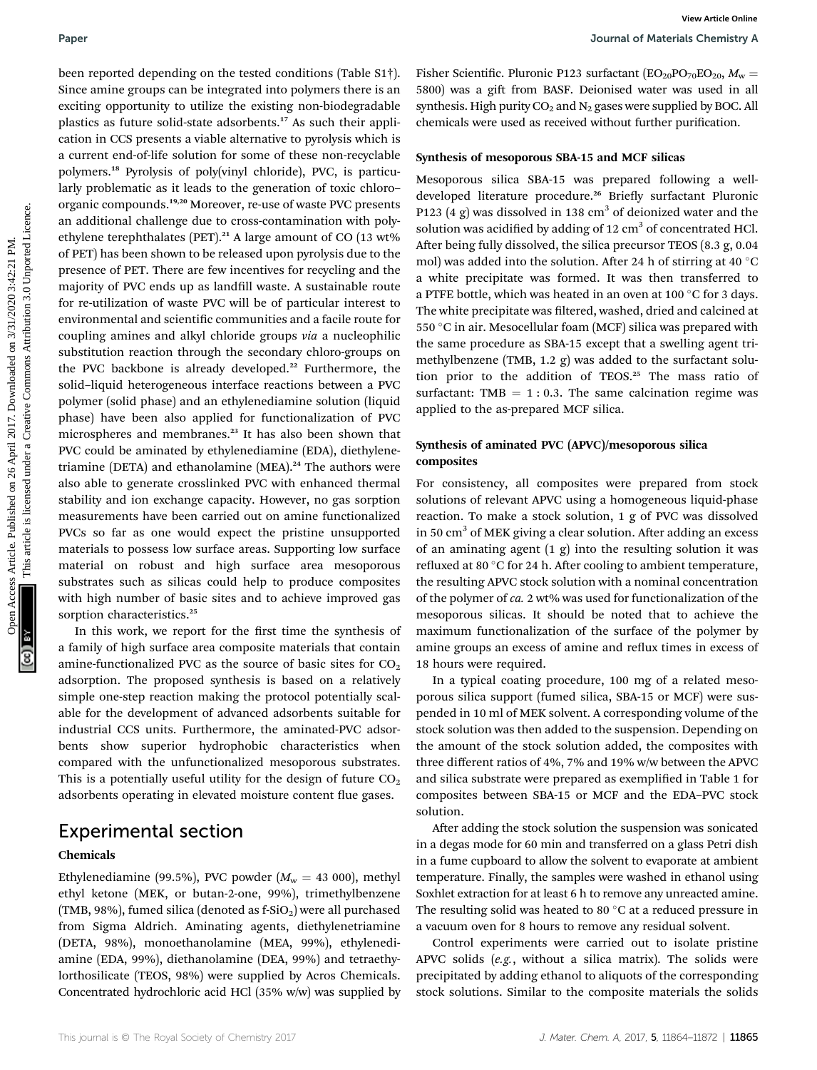substrates such as silicas could help to produce composites with high number of basic sites and to achieve improved gas sorption characteristics.<sup>25</sup>

been reported depending on the tested conditions (Table S1†). Since amine groups can be integrated into polymers there is an exciting opportunity to utilize the existing non-biodegradable plastics as future solid-state adsorbents.<sup>17</sup> As such their application in CCS presents a viable alternative to pyrolysis which is a current end-of-life solution for some of these non-recyclable polymers.<sup>18</sup> Pyrolysis of poly(vinyl chloride), PVC, is particularly problematic as it leads to the generation of toxic chloro– organic compounds.19,20 Moreover, re-use of waste PVC presents an additional challenge due to cross-contamination with polyethylene terephthalates (PET).<sup>21</sup> A large amount of CO (13 wt%) of PET) has been shown to be released upon pyrolysis due to the presence of PET. There are few incentives for recycling and the majority of PVC ends up as landfill waste. A sustainable route for re-utilization of waste PVC will be of particular interest to environmental and scientific communities and a facile route for coupling amines and alkyl chloride groups via a nucleophilic substitution reaction through the secondary chloro-groups on the PVC backbone is already developed.<sup>22</sup> Furthermore, the solid–liquid heterogeneous interface reactions between a PVC polymer (solid phase) and an ethylenediamine solution (liquid phase) have been also applied for functionalization of PVC microspheres and membranes.<sup>23</sup> It has also been shown that PVC could be aminated by ethylenediamine (EDA), diethylenetriamine (DETA) and ethanolamine (MEA).<sup>24</sup> The authors were also able to generate crosslinked PVC with enhanced thermal stability and ion exchange capacity. However, no gas sorption measurements have been carried out on amine functionalized PVCs so far as one would expect the pristine unsupported materials to possess low surface areas. Supporting low surface material on robust and high surface area mesoporous Paper<br>
Near reported only to the tissed conditions; (Table S11). Takes Scientific Plurouic PAIs configure that the components are the same a gift from 800-2, belonged with the same and the same and the same and the same a

In this work, we report for the first time the synthesis of a family of high surface area composite materials that contain amine-functionalized PVC as the source of basic sites for  $CO<sub>2</sub>$ adsorption. The proposed synthesis is based on a relatively simple one-step reaction making the protocol potentially scalable for the development of advanced adsorbents suitable for industrial CCS units. Furthermore, the aminated-PVC adsorbents show superior hydrophobic characteristics when compared with the unfunctionalized mesoporous substrates. This is a potentially useful utility for the design of future  $CO<sub>2</sub>$ adsorbents operating in elevated moisture content flue gases.

## Experimental section

### Chemicals

Ethylenediamine (99.5%), PVC powder ( $M_w = 43000$ ), methyl ethyl ketone (MEK, or butan-2-one, 99%), trimethylbenzene (TMB, 98%), fumed silica (denoted as  $f-SiO<sub>2</sub>$ ) were all purchased from Sigma Aldrich. Aminating agents, diethylenetriamine (DETA, 98%), monoethanolamine (MEA, 99%), ethylenediamine (EDA, 99%), diethanolamine (DEA, 99%) and tetraethylorthosilicate (TEOS, 98%) were supplied by Acros Chemicals. Concentrated hydrochloric acid HCl (35% w/w) was supplied by

Fisher Scientific. Pluronic P123 surfactant  $(EO_{20}PO_{70}EO_{20}, M_w =$ 5800) was a gift from BASF. Deionised water was used in all synthesis. High purity  $CO<sub>2</sub>$  and N<sub>2</sub> gases were supplied by BOC. All chemicals were used as received without further purification.

#### Synthesis of mesoporous SBA-15 and MCF silicas

Mesoporous silica SBA-15 was prepared following a welldeveloped literature procedure.<sup>26</sup> Briefly surfactant Pluronic P123 (4 g) was dissolved in 138 cm<sup>3</sup> of deionized water and the solution was acidified by adding of  $12 \text{ cm}^3$  of concentrated HCl. After being fully dissolved, the silica precursor TEOS  $(8.3 \text{ g}, 0.04)$ mol) was added into the solution. After 24 h of stirring at 40  $^{\circ}$ C a white precipitate was formed. It was then transferred to a PTFE bottle, which was heated in an oven at 100  $\degree$ C for 3 days. The white precipitate was filtered, washed, dried and calcined at 550 °C in air. Mesocellular foam (MCF) silica was prepared with the same procedure as SBA-15 except that a swelling agent trimethylbenzene (TMB, 1.2 g) was added to the surfactant solution prior to the addition of TEOS.<sup>25</sup> The mass ratio of surfactant: TMB  $= 1 : 0.3$ . The same calcination regime was applied to the as-prepared MCF silica.

## Synthesis of aminated PVC (APVC)/mesoporous silica composites

For consistency, all composites were prepared from stock solutions of relevant APVC using a homogeneous liquid-phase reaction. To make a stock solution, 1 g of PVC was dissolved in 50  $\text{cm}^3$  of MEK giving a clear solution. After adding an excess of an aminating agent  $(1 \text{ g})$  into the resulting solution it was refluxed at 80 $\degree$ C for 24 h. After cooling to ambient temperature, the resulting APVC stock solution with a nominal concentration of the polymer of ca. 2 wt% was used for functionalization of the mesoporous silicas. It should be noted that to achieve the maximum functionalization of the surface of the polymer by amine groups an excess of amine and reflux times in excess of 18 hours were required.

In a typical coating procedure, 100 mg of a related mesoporous silica support (fumed silica, SBA-15 or MCF) were suspended in 10 ml of MEK solvent. A corresponding volume of the stock solution was then added to the suspension. Depending on the amount of the stock solution added, the composites with three different ratios of 4%, 7% and 19% w/w between the APVC and silica substrate were prepared as exemplified in Table 1 for composites between SBA-15 or MCF and the EDA–PVC stock solution.

After adding the stock solution the suspension was sonicated in a degas mode for 60 min and transferred on a glass Petri dish in a fume cupboard to allow the solvent to evaporate at ambient temperature. Finally, the samples were washed in ethanol using Soxhlet extraction for at least 6 h to remove any unreacted amine. The resulting solid was heated to 80 $^{\circ}$ C at a reduced pressure in a vacuum oven for 8 hours to remove any residual solvent.

Control experiments were carried out to isolate pristine APVC solids (e.g., without a silica matrix). The solids were precipitated by adding ethanol to aliquots of the corresponding stock solutions. Similar to the composite materials the solids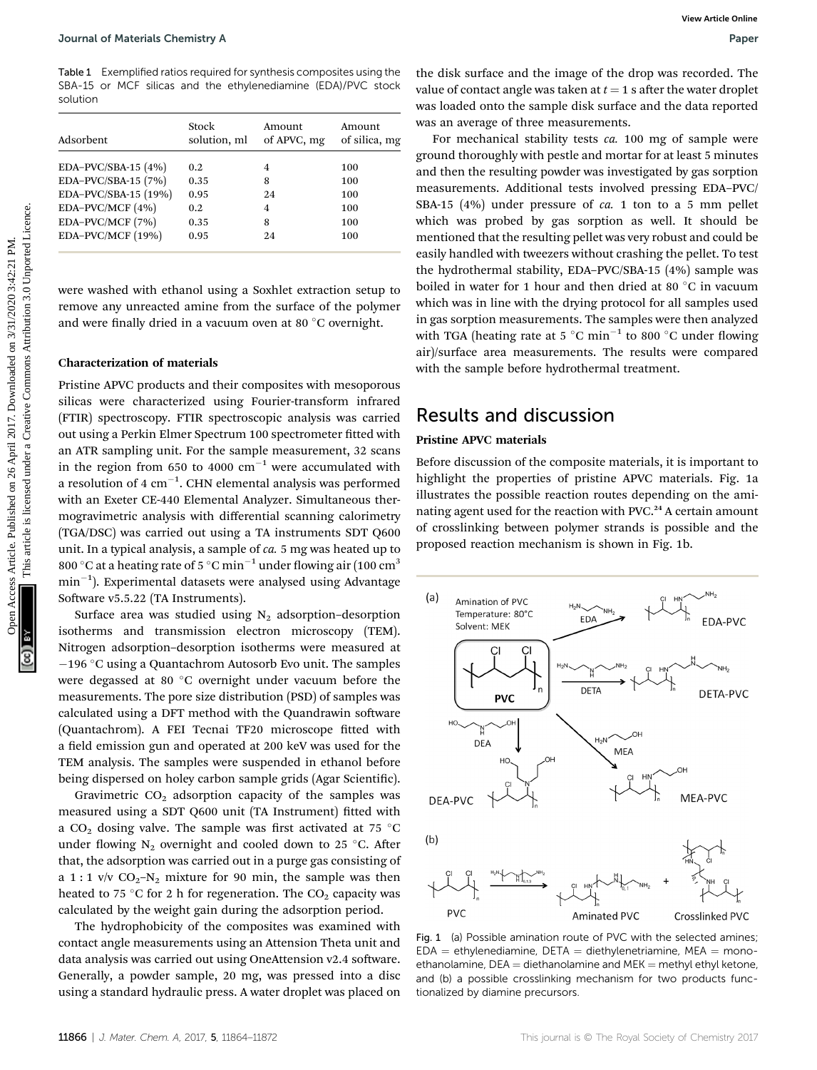Table 1 Exemplified ratios required for synthesis composites using the SBA-15 or MCF silicas and the ethylenediamine (EDA)/PVC stock solution

| Adsorbent            | Stock<br>solution, ml | Amount<br>of APVC, mg | Amount<br>of silica, mg |  |
|----------------------|-----------------------|-----------------------|-------------------------|--|
| EDA-PVC/SBA-15 (4%)  | 0.2                   | 4                     | 100                     |  |
| EDA-PVC/SBA-15 (7%)  | 0.35                  | 8                     | 100                     |  |
| EDA-PVC/SBA-15 (19%) | 0.95                  | 24                    | 100                     |  |
| EDA-PVC/MCF (4%)     | 0.2                   | $\overline{4}$        | 100                     |  |
| EDA-PVC/MCF (7%)     | 0.35                  | 8                     | 100                     |  |
| EDA-PVC/MCF (19%)    | 0.95                  | 24                    | 100                     |  |

were washed with ethanol using a Soxhlet extraction setup to remove any unreacted amine from the surface of the polymer and were finally dried in a vacuum oven at 80 °C overnight.

### Characterization of materials

Pristine APVC products and their composites with mesoporous silicas were characterized using Fourier-transform infrared (FTIR) spectroscopy. FTIR spectroscopic analysis was carried out using a Perkin Elmer Spectrum 100 spectrometer fitted with an ATR sampling unit. For the sample measurement, 32 scans in the region from 650 to 4000  $\text{cm}^{-1}$  were accumulated with a resolution of 4  $\rm cm^{-1}$ . CHN elemental analysis was performed with an Exeter CE-440 Elemental Analyzer. Simultaneous thermogravimetric analysis with differential scanning calorimetry (TGA/DSC) was carried out using a TA instruments SDT Q600 unit. In a typical analysis, a sample of ca. 5 mg was heated up to 800 °C at a heating rate of 5 °C min<sup>-1</sup> under flowing air (100 cm<sup>3</sup>)  $min^{-1}$ ). Experimental datasets were analysed using Advantage Software v5.5.22 (TA Instruments).

Surface area was studied using  $N_2$  adsorption-desorption isotherms and transmission electron microscopy (TEM). Nitrogen adsorption–desorption isotherms were measured at  $-196$  °C using a Quantachrom Autosorb Evo unit. The samples were degassed at 80 $\degree$ C overnight under vacuum before the measurements. The pore size distribution (PSD) of samples was calculated using a DFT method with the Quandrawin software (Quantachrom). A FEI Tecnai TF20 microscope fitted with a field emission gun and operated at 200 keV was used for the TEM analysis. The samples were suspended in ethanol before being dispersed on holey carbon sample grids (Agar Scientific).

Gravimetric  $CO<sub>2</sub>$  adsorption capacity of the samples was measured using a SDT Q600 unit (TA Instrument) fitted with a CO<sub>2</sub> dosing valve. The sample was first activated at 75 °C under flowing  $N_2$  overnight and cooled down to 25 °C. After that, the adsorption was carried out in a purge gas consisting of a 1 : 1 v/v  $CO_2-N_2$  mixture for 90 min, the sample was then heated to 75 °C for 2 h for regeneration. The  $CO<sub>2</sub>$  capacity was calculated by the weight gain during the adsorption period.

The hydrophobicity of the composites was examined with contact angle measurements using an Attension Theta unit and data analysis was carried out using OneAttension v2.4 software. Generally, a powder sample, 20 mg, was pressed into a disc using a standard hydraulic press. A water droplet was placed on

the disk surface and the image of the drop was recorded. The value of contact angle was taken at  $t = 1$  s after the water droplet was loaded onto the sample disk surface and the data reported was an average of three measurements.

For mechanical stability tests ca. 100 mg of sample were ground thoroughly with pestle and mortar for at least 5 minutes and then the resulting powder was investigated by gas sorption measurements. Additional tests involved pressing EDA–PVC/ SBA-15 (4%) under pressure of ca. 1 ton to a 5 mm pellet which was probed by gas sorption as well. It should be mentioned that the resulting pellet was very robust and could be easily handled with tweezers without crashing the pellet. To test the hydrothermal stability, EDA–PVC/SBA-15 (4%) sample was boiled in water for 1 hour and then dried at 80  $\degree$ C in vacuum which was in line with the drying protocol for all samples used in gas sorption measurements. The samples were then analyzed with TGA (heating rate at  $5^{\circ}$ C min<sup>-1</sup> to 800 °C under flowing air)/surface area measurements. The results were compared with the sample before hydrothermal treatment. Journal of Materials Chemistry A<br>
Table 3: Proposition of Published or anticle. Published on 2017. The state of the common and the interpret or anticle is likely<br>  $\frac{1}{2}$  PM. This article is likely common and the interp

## Results and discussion

### Pristine APVC materials

Before discussion of the composite materials, it is important to highlight the properties of pristine APVC materials. Fig. 1a illustrates the possible reaction routes depending on the aminating agent used for the reaction with PVC.<sup>24</sup> A certain amount of crosslinking between polymer strands is possible and the proposed reaction mechanism is shown in Fig. 1b.



Fig. 1 (a) Possible amination route of PVC with the selected amines;  $EDA = ethylene$ diamine, DETA = diethylenetriamine, MEA = monoethanolamine,  $DEA =$  diethanolamine and  $MEK =$  methyl ethyl ketone, and (b) a possible crosslinking mechanism for two products functionalized by diamine precursors.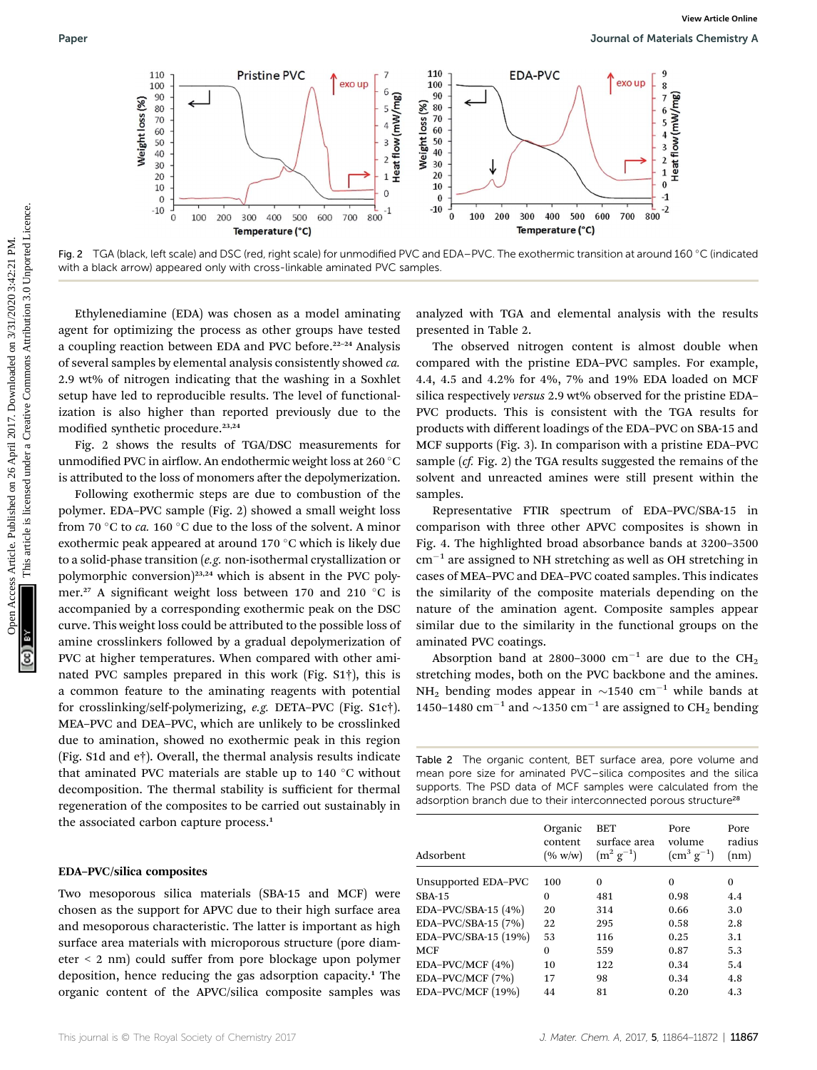

Fig. 2 TGA (black, left scale) and DSC (red, right scale) for unmodified PVC and EDA–PVC. The exothermic transition at around 160 °C (indicated with a black arrow) appeared only with cross-linkable aminated PVC samples.

Ethylenediamine (EDA) was chosen as a model aminating agent for optimizing the process as other groups have tested a coupling reaction between EDA and PVC before.<sup>22-24</sup> Analysis of several samples by elemental analysis consistently showed ca. 2.9 wt% of nitrogen indicating that the washing in a Soxhlet setup have led to reproducible results. The level of functionalization is also higher than reported previously due to the modified synthetic procedure.<sup>23,24</sup>

Fig. 2 shows the results of TGA/DSC measurements for unmodified PVC in airflow. An endothermic weight loss at 260 °C is attributed to the loss of monomers after the depolymerization.

Following exothermic steps are due to combustion of the polymer. EDA–PVC sample (Fig. 2) showed a small weight loss from 70 °C to ca. 160 °C due to the loss of the solvent. A minor exothermic peak appeared at around  $170^{\circ}$ C which is likely due to a solid-phase transition (e.g. non-isothermal crystallization or polymorphic conversion)<sup>23,24</sup> which is absent in the PVC polymer.<sup>27</sup> A significant weight loss between 170 and 210  $^{\circ}$ C is accompanied by a corresponding exothermic peak on the DSC curve. This weight loss could be attributed to the possible loss of amine crosslinkers followed by a gradual depolymerization of PVC at higher temperatures. When compared with other aminated PVC samples prepared in this work (Fig. S1†), this is a common feature to the aminating reagents with potential for crosslinking/self-polymerizing, e.g. DETA–PVC (Fig. S1c†). MEA–PVC and DEA–PVC, which are unlikely to be crosslinked due to amination, showed no exothermic peak in this region (Fig. S1d and e†). Overall, the thermal analysis results indicate that aminated PVC materials are stable up to  $140\degree C$  without decomposition. The thermal stability is sufficient for thermal regeneration of the composites to be carried out sustainably in the associated carbon capture process.<sup>1</sup>

## EDA–PVC/silica composites

Two mesoporous silica materials (SBA-15 and MCF) were chosen as the support for APVC due to their high surface area and mesoporous characteristic. The latter is important as high surface area materials with microporous structure (pore diameter < 2 nm) could suffer from pore blockage upon polymer deposition, hence reducing the gas adsorption capacity.<sup>1</sup> The organic content of the APVC/silica composite samples was

analyzed with TGA and elemental analysis with the results presented in Table 2.

The observed nitrogen content is almost double when compared with the pristine EDA–PVC samples. For example, 4.4, 4.5 and 4.2% for 4%, 7% and 19% EDA loaded on MCF silica respectively versus 2.9 wt% observed for the pristine EDA– PVC products. This is consistent with the TGA results for products with different loadings of the EDA–PVC on SBA-15 and MCF supports (Fig. 3). In comparison with a pristine EDA–PVC sample (cf. Fig. 2) the TGA results suggested the remains of the solvent and unreacted amines were still present within the samples.

Representative FTIR spectrum of EDA–PVC/SBA-15 in comparison with three other APVC composites is shown in Fig. 4. The highlighted broad absorbance bands at 3200–3500  $cm^{-1}$  are assigned to NH stretching as well as OH stretching in cases of MEA–PVC and DEA–PVC coated samples. This indicates the similarity of the composite materials depending on the nature of the amination agent. Composite samples appear similar due to the similarity in the functional groups on the aminated PVC coatings.

Absorption band at 2800–3000 cm<sup>-1</sup> are due to the CH<sub>2</sub> stretching modes, both on the PVC backbone and the amines. NH<sub>2</sub> bending modes appear in  $\sim$ 1540 cm<sup>-1</sup> while bands at 1450–1480 cm<sup>-1</sup> and  $\sim$ 1350 cm<sup>-1</sup> are assigned to CH<sub>2</sub> bending

Table 2 The organic content, BET surface area, pore volume and mean pore size for aminated PVC–silica composites and the silica supports. The PSD data of MCF samples were calculated from the adsorption branch due to their interconnected porous structure<sup>28</sup>

| Adsorbent            | Organic<br>content<br>(% w/w) | <b>BET</b><br>surface area<br>$(m^2 g^{-1})$ | Pore<br>volume<br>$\rm (cm^3 \ g^{-1})$ | Pore<br>radius<br>(nm) |
|----------------------|-------------------------------|----------------------------------------------|-----------------------------------------|------------------------|
| Unsupported EDA-PVC  | 100                           | $\Omega$                                     | $\Omega$                                | $\Omega$               |
| <b>SBA-15</b>        | 0                             | 481                                          | 0.98                                    | 4.4                    |
| EDA-PVC/SBA-15 (4%)  | 20                            | 314                                          | 0.66                                    | 3.0                    |
| EDA-PVC/SBA-15 (7%)  | 22                            | 295                                          | 0.58                                    | 2.8                    |
| EDA-PVC/SBA-15 (19%) | 53                            | 116                                          | 0.25                                    | 3.1                    |
| <b>MCF</b>           | $\Omega$                      | 559                                          | 0.87                                    | 5.3                    |
| EDA-PVC/MCF $(4%)$   | 10                            | 122                                          | 0.34                                    | 5.4                    |
| EDA-PVC/MCF (7%)     | 17                            | 98                                           | 0.34                                    | 4.8                    |
| EDA-PVC/MCF (19%)    | 44                            | 81                                           | 0.20                                    | 4.3                    |
|                      |                               |                                              |                                         |                        |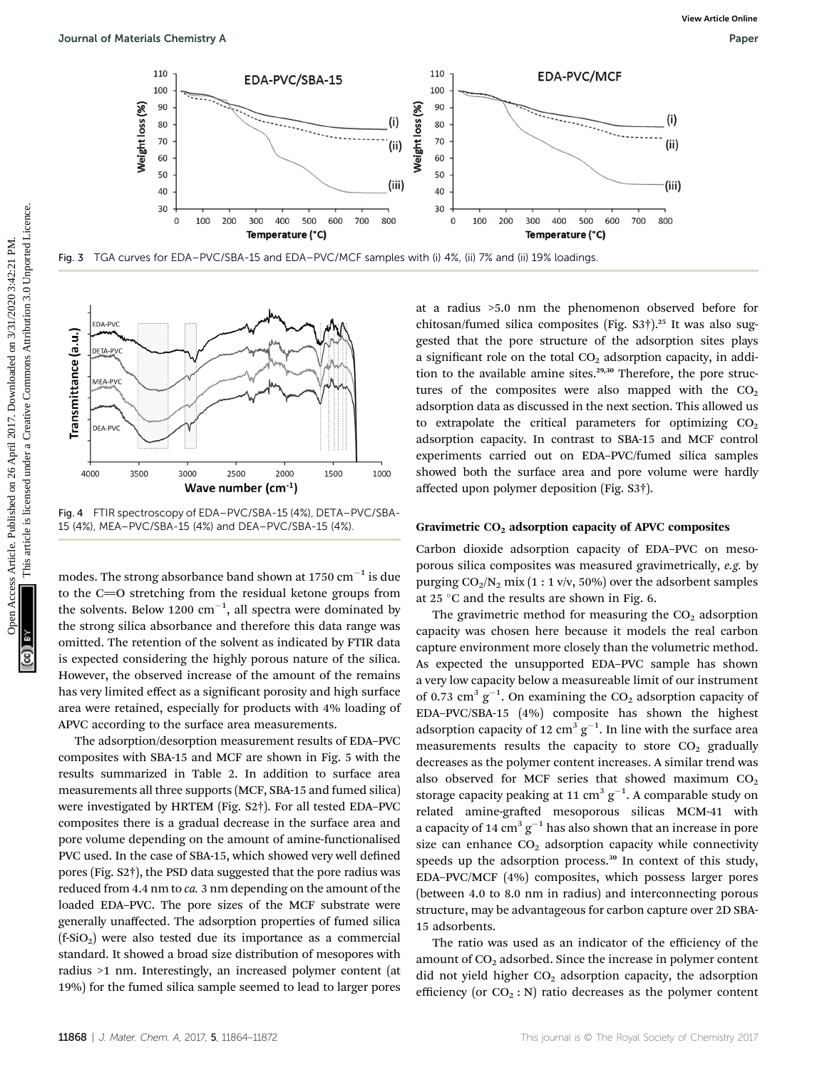![](_page_4_Figure_3.jpeg)

![](_page_4_Figure_4.jpeg)

Fig. 4 FTIR spectroscopy of EDA–PVC/SBA-15 (4%), DETA–PVC/SBA-15 (4%), MEA–PVC/SBA-15 (4%) and DEA–PVC/SBA-15 (4%).

modes. The strong absorbance band shown at 1750  $\text{cm}^{-1}$  is due to the  $C=O$  stretching from the residual ketone groups from the solvents. Below 1200  $\text{cm}^{-1}$ , all spectra were dominated by the strong silica absorbance and therefore this data range was omitted. The retention of the solvent as indicated by FTIR data is expected considering the highly porous nature of the silica. However, the observed increase of the amount of the remains has very limited effect as a significant porosity and high surface area were retained, especially for products with 4% loading of APVC according to the surface area measurements.

The adsorption/desorption measurement results of EDA–PVC composites with SBA-15 and MCF are shown in Fig. 5 with the results summarized in Table 2. In addition to surface area measurements all three supports (MCF, SBA-15 and fumed silica) were investigated by HRTEM (Fig. S2†). For all tested EDA–PVC composites there is a gradual decrease in the surface area and pore volume depending on the amount of amine-functionalised PVC used. In the case of SBA-15, which showed very well defined pores (Fig. S2†), the PSD data suggested that the pore radius was reduced from 4.4 nm to ca. 3 nm depending on the amount of the loaded EDA–PVC. The pore sizes of the MCF substrate were generally unaffected. The adsorption properties of fumed silica  $(f-SiO<sub>2</sub>)$  were also tested due its importance as a commercial standard. It showed a broad size distribution of mesopores with radius >1 nm. Interestingly, an increased polymer content (at 19%) for the fumed silica sample seemed to lead to larger pores

at a radius >5.0 nm the phenomenon observed before for chitosan/fumed silica composites (Fig. S3†).<sup>25</sup> It was also suggested that the pore structure of the adsorption sites plays a significant role on the total  $CO<sub>2</sub>$  adsorption capacity, in addition to the available amine sites. $29,30$  Therefore, the pore structures of the composites were also mapped with the  $CO<sub>2</sub>$ adsorption data as discussed in the next section. This allowed us to extrapolate the critical parameters for optimizing  $CO<sub>2</sub>$ adsorption capacity. In contrast to SBA-15 and MCF control experiments carried out on EDA–PVC/fumed silica samples showed both the surface area and pore volume were hardly affected upon polymer deposition (Fig. S3†).

#### Gravimetric  $CO<sub>2</sub>$  adsorption capacity of APVC composites

Carbon dioxide adsorption capacity of EDA–PVC on mesoporous silica composites was measured gravimetrically, e.g. by purging  $CO_2/N_2$  mix (1 : 1 v/v, 50%) over the adsorbent samples at 25 $\degree$ C and the results are shown in Fig. 6.

The gravimetric method for measuring the  $CO<sub>2</sub>$  adsorption capacity was chosen here because it models the real carbon capture environment more closely than the volumetric method. As expected the unsupported EDA–PVC sample has shown a very low capacity below a measureable limit of our instrument of 0.73 cm<sup>3</sup>  $g^{-1}$ . On examining the CO<sub>2</sub> adsorption capacity of EDA–PVC/SBA-15 (4%) composite has shown the highest adsorption capacity of 12  $\text{cm}^3 \text{ g}^{-1}$ . In line with the surface area measurements results the capacity to store  $CO<sub>2</sub>$  gradually decreases as the polymer content increases. A similar trend was also observed for MCF series that showed maximum  $CO<sub>2</sub>$ storage capacity peaking at 11 cm $^3$  g<sup>-1</sup>. A comparable study on related amine-grafted mesoporous silicas MCM-41 with a capacity of 14  $\text{cm}^3 \text{ g}^{-1}$  has also shown that an increase in pore size can enhance  $CO<sub>2</sub>$  adsorption capacity while connectivity speeds up the adsorption process.<sup>30</sup> In context of this study, EDA–PVC/MCF (4%) composites, which possess larger pores (between 4.0 to 8.0 nm in radius) and interconnecting porous structure, may be advantageous for carbon capture over 2D SBA-15 adsorbents.

The ratio was used as an indicator of the efficiency of the amount of  $CO<sub>2</sub>$  adsorbed. Since the increase in polymer content did not yield higher  $CO<sub>2</sub>$  adsorption capacity, the adsorption efficiency (or  $CO_2$ : N) ratio decreases as the polymer content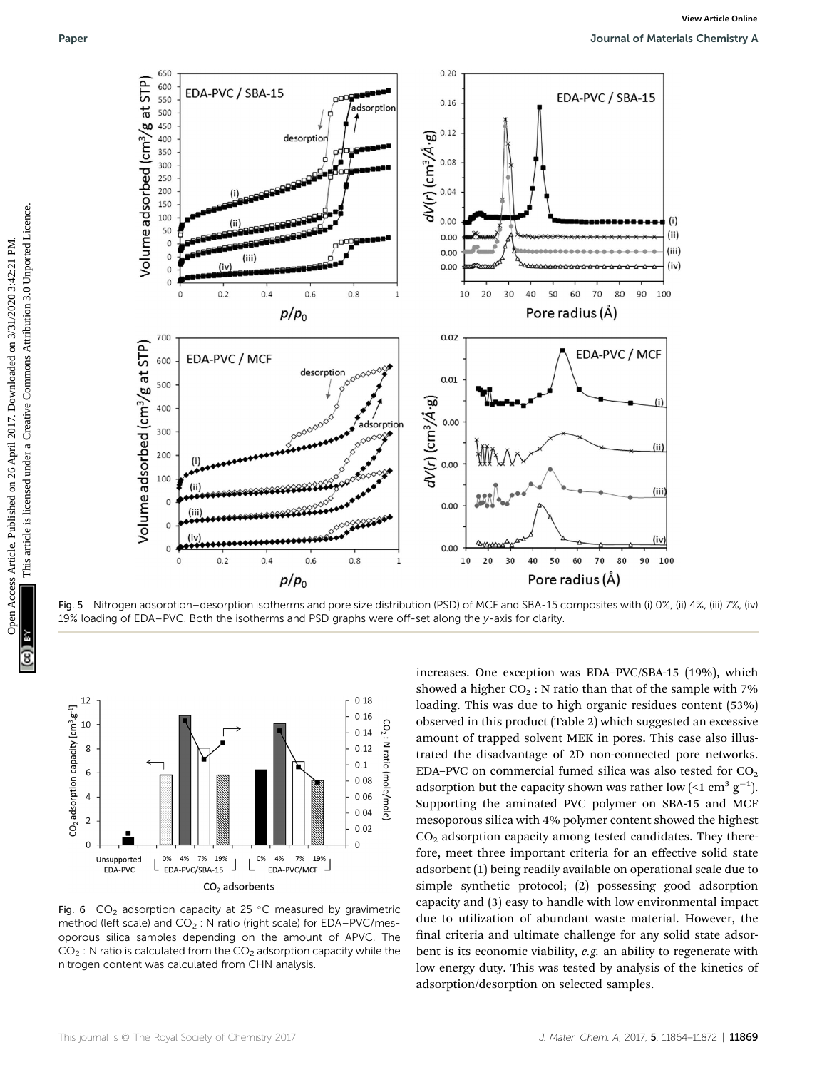![](_page_5_Figure_2.jpeg)

Fig. 5 Nitrogen adsorption–desorption isotherms and pore size distribution (PSD) of MCF and SBA-15 composites with (i) 0%, (ii) 4%, (iii) 7%, (iv) 19% loading of EDA–PVC. Both the isotherms and PSD graphs were off-set along the y-axis for clarity.

![](_page_5_Figure_4.jpeg)

Fig. 6  $CO<sub>2</sub>$  adsorption capacity at 25 °C measured by gravimetric method (left scale) and  $CO_2$ : N ratio (right scale) for EDA–PVC/mesoporous silica samples depending on the amount of APVC. The  $CO<sub>2</sub>$ : N ratio is calculated from the  $CO<sub>2</sub>$  adsorption capacity while the nitrogen content was calculated from CHN analysis.

increases. One exception was EDA–PVC/SBA-15 (19%), which showed a higher  $CO<sub>2</sub>$ : N ratio than that of the sample with 7% loading. This was due to high organic residues content (53%) observed in this product (Table 2) which suggested an excessive amount of trapped solvent MEK in pores. This case also illustrated the disadvantage of 2D non-connected pore networks. EDA–PVC on commercial fumed silica was also tested for  $CO<sub>2</sub>$ adsorption but the capacity shown was rather low (<1 cm<sup>3</sup>  $g^{-1}$ ). Supporting the aminated PVC polymer on SBA-15 and MCF mesoporous silica with 4% polymer content showed the highest  $CO<sub>2</sub>$  adsorption capacity among tested candidates. They therefore, meet three important criteria for an effective solid state adsorbent (1) being readily available on operational scale due to simple synthetic protocol; (2) possessing good adsorption capacity and (3) easy to handle with low environmental impact due to utilization of abundant waste material. However, the final criteria and ultimate challenge for any solid state adsorbent is its economic viability, e.g. an ability to regenerate with low energy duty. This was tested by analysis of the kinetics of adsorption/desorption on selected samples.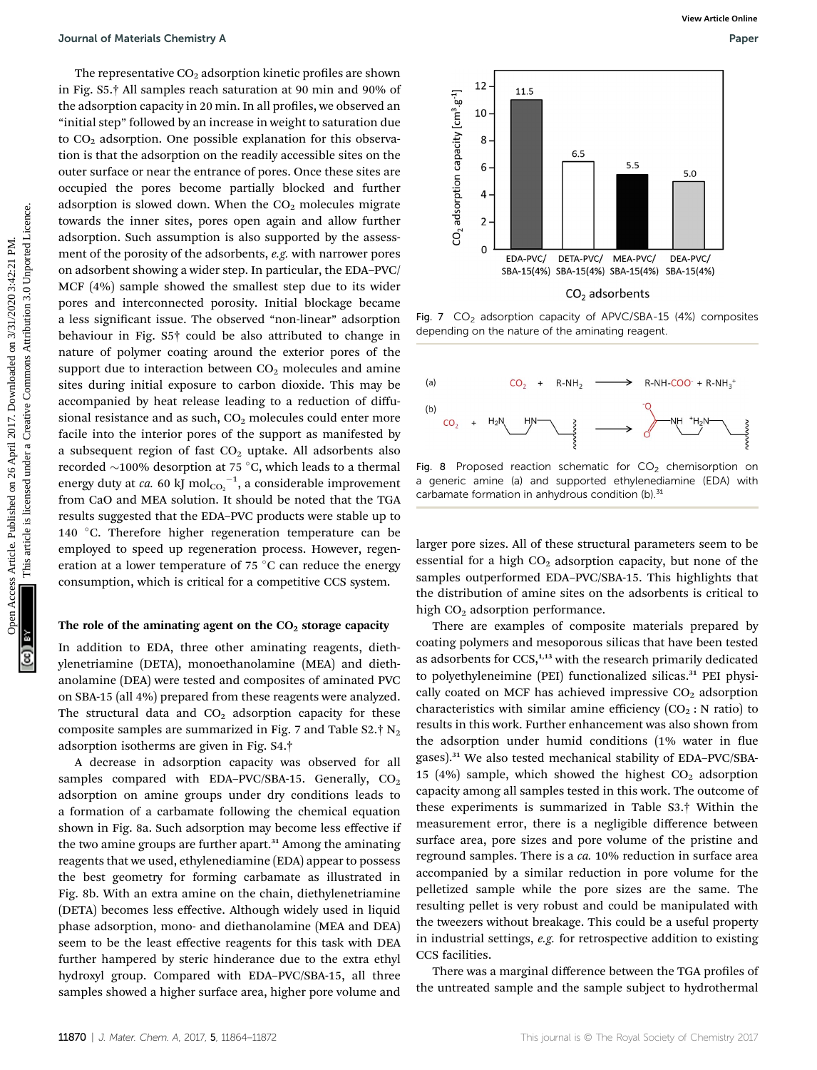The representative  $CO<sub>2</sub>$  adsorption kinetic profiles are shown in Fig. S5.† All samples reach saturation at 90 min and 90% of the adsorption capacity in 20 min. In all profiles, we observed an "initial step" followed by an increase in weight to saturation due to  $CO<sub>2</sub>$  adsorption. One possible explanation for this observation is that the adsorption on the readily accessible sites on the outer surface or near the entrance of pores. Once these sites are occupied the pores become partially blocked and further adsorption is slowed down. When the  $CO<sub>2</sub>$  molecules migrate towards the inner sites, pores open again and allow further adsorption. Such assumption is also supported by the assessment of the porosity of the adsorbents, e.g. with narrower pores on adsorbent showing a wider step. In particular, the EDA–PVC/ MCF (4%) sample showed the smallest step due to its wider pores and interconnected porosity. Initial blockage became a less significant issue. The observed "non-linear" adsorption behaviour in Fig. S5† could be also attributed to change in nature of polymer coating around the exterior pores of the support due to interaction between  $CO<sub>2</sub>$  molecules and amine sites during initial exposure to carbon dioxide. This may be accompanied by heat release leading to a reduction of diffusional resistance and as such,  $CO<sub>2</sub>$  molecules could enter more facile into the interior pores of the support as manifested by a subsequent region of fast  $CO<sub>2</sub>$  uptake. All adsorbents also recorded  $\sim$ 100% desorption at 75 °C, which leads to a thermal energy duty at *ca.* 60 kJ  $\mathrm{mol_{CO_2}}^{-1}$ , a considerable improvement from CaO and MEA solution. It should be noted that the TGA results suggested that the EDA–PVC products were stable up to 140 °C. Therefore higher regeneration temperature can be employed to speed up regeneration process. However, regeneration at a lower temperature of  $75^{\circ}$ C can reduce the energy consumption, which is critical for a competitive CCS system. **Constraints Articles** Chomistry Articles. Published on 2017. The published on 26 April 2017. The comparison of the matter of the state of the state article is likely the common and one of the state of the state of the st

#### The role of the aminating agent on the  $CO<sub>2</sub>$  storage capacity

In addition to EDA, three other aminating reagents, diethylenetriamine (DETA), monoethanolamine (MEA) and diethanolamine (DEA) were tested and composites of aminated PVC on SBA-15 (all 4%) prepared from these reagents were analyzed. The structural data and  $CO<sub>2</sub>$  adsorption capacity for these composite samples are summarized in Fig. 7 and Table S2. $\dagger$  N<sub>2</sub> adsorption isotherms are given in Fig. S4.†

A decrease in adsorption capacity was observed for all samples compared with EDA-PVC/SBA-15. Generally,  $CO<sub>2</sub>$ adsorption on amine groups under dry conditions leads to a formation of a carbamate following the chemical equation shown in Fig. 8a. Such adsorption may become less effective if the two amine groups are further apart.<sup>31</sup> Among the aminating reagents that we used, ethylenediamine (EDA) appear to possess the best geometry for forming carbamate as illustrated in Fig. 8b. With an extra amine on the chain, diethylenetriamine (DETA) becomes less effective. Although widely used in liquid phase adsorption, mono- and diethanolamine (MEA and DEA) seem to be the least effective reagents for this task with DEA further hampered by steric hinderance due to the extra ethyl hydroxyl group. Compared with EDA–PVC/SBA-15, all three samples showed a higher surface area, higher pore volume and

![](_page_6_Figure_7.jpeg)

Fig. 7  $CO<sub>2</sub>$  adsorption capacity of APVC/SBA-15 (4%) composites depending on the nature of the aminating reagent.

![](_page_6_Figure_9.jpeg)

Fig. 8 Proposed reaction schematic for  $CO<sub>2</sub>$  chemisorption on a generic amine (a) and supported ethylenediamine (EDA) with carbamate formation in anhydrous condition (b).<sup>31</sup>

larger pore sizes. All of these structural parameters seem to be essential for a high  $CO<sub>2</sub>$  adsorption capacity, but none of the samples outperformed EDA–PVC/SBA-15. This highlights that the distribution of amine sites on the adsorbents is critical to high  $CO<sub>2</sub>$  adsorption performance.

There are examples of composite materials prepared by coating polymers and mesoporous silicas that have been tested as adsorbents for  $CCS$ ,<sup>1,13</sup> with the research primarily dedicated to polyethyleneimine (PEI) functionalized silicas.<sup>31</sup> PEI physically coated on MCF has achieved impressive  $CO<sub>2</sub>$  adsorption characteristics with similar amine efficiency  $(CO_2 : N \text{ ratio})$  to results in this work. Further enhancement was also shown from the adsorption under humid conditions (1% water in flue gases).<sup>31</sup> We also tested mechanical stability of EDA–PVC/SBA-15 (4%) sample, which showed the highest  $CO<sub>2</sub>$  adsorption capacity among all samples tested in this work. The outcome of these experiments is summarized in Table S3.† Within the measurement error, there is a negligible difference between surface area, pore sizes and pore volume of the pristine and reground samples. There is a ca. 10% reduction in surface area accompanied by a similar reduction in pore volume for the pelletized sample while the pore sizes are the same. The resulting pellet is very robust and could be manipulated with the tweezers without breakage. This could be a useful property in industrial settings, e.g. for retrospective addition to existing CCS facilities.

There was a marginal difference between the TGA profiles of the untreated sample and the sample subject to hydrothermal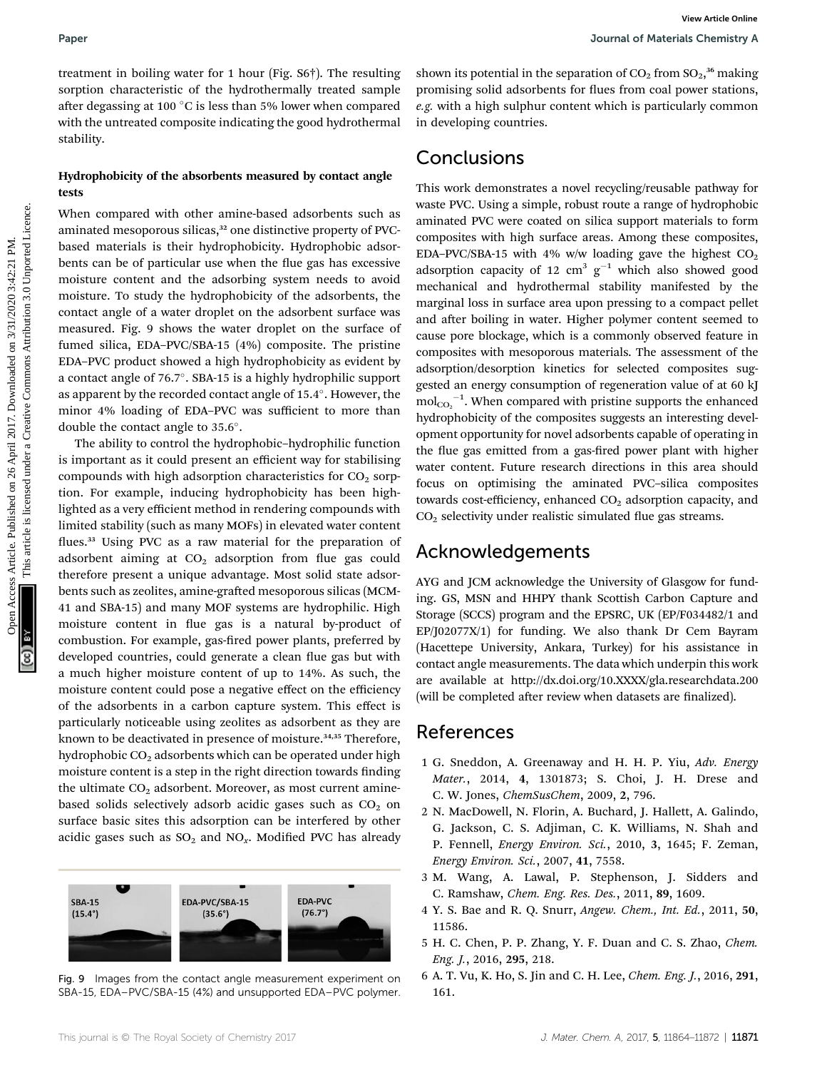treatment in boiling water for 1 hour (Fig. S6†). The resulting sorption characteristic of the hydrothermally treated sample after degassing at 100 °C is less than 5% lower when compared with the untreated composite indicating the good hydrothermal stability.

## Hydrophobicity of the absorbents measured by contact angle tests

When compared with other amine-based adsorbents such as aminated mesoporous silicas,<sup>32</sup> one distinctive property of PVCbased materials is their hydrophobicity. Hydrophobic adsorbents can be of particular use when the flue gas has excessive moisture content and the adsorbing system needs to avoid moisture. To study the hydrophobicity of the adsorbents, the contact angle of a water droplet on the adsorbent surface was measured. Fig. 9 shows the water droplet on the surface of fumed silica, EDA–PVC/SBA-15 (4%) composite. The pristine EDA–PVC product showed a high hydrophobicity as evident by a contact angle of 76.7°. SBA-15 is a highly hydrophilic support as apparent by the recorded contact angle of 15.4°. However, the minor 4% loading of EDA–PVC was sufficient to more than double the contact angle to 35.6°.

The ability to control the hydrophobic–hydrophilic function is important as it could present an efficient way for stabilising compounds with high adsorption characteristics for  $CO<sub>2</sub>$  sorption. For example, inducing hydrophobicity has been highlighted as a very efficient method in rendering compounds with limited stability (such as many MOFs) in elevated water content flues.<sup>33</sup> Using PVC as a raw material for the preparation of adsorbent aiming at  $CO<sub>2</sub>$  adsorption from flue gas could therefore present a unique advantage. Most solid state adsorbents such as zeolites, amine-grafted mesoporous silicas (MCM-41 and SBA-15) and many MOF systems are hydrophilic. High moisture content in flue gas is a natural by-product of combustion. For example, gas-fired power plants, preferred by developed countries, could generate a clean flue gas but with a much higher moisture content of up to 14%. As such, the moisture content could pose a negative effect on the efficiency of the adsorbents in a carbon capture system. This effect is particularly noticeable using zeolites as adsorbent as they are known to be deactivated in presence of moisture.<sup>34,35</sup> Therefore, hydrophobic  $CO<sub>2</sub>$  adsorbents which can be operated under high moisture content is a step in the right direction towards finding the ultimate  $CO<sub>2</sub>$  adsorbent. Moreover, as most current aminebased solids selectively adsorb acidic gases such as  $CO<sub>2</sub>$  on surface basic sites this adsorption can be interfered by other acidic gases such as  $SO_2$  and  $NO_x$ . Modified PVC has already

![](_page_7_Figure_6.jpeg)

Fig. 9 Images from the contact angle measurement experiment on SBA-15, EDA–PVC/SBA-15 (4%) and unsupported EDA–PVC polymer.

shown its potential in the separation of  $\mathrm{CO}_2$  from  $\mathrm{SO}_2,^{36}$  making promising solid adsorbents for flues from coal power stations, e.g. with a high sulphur content which is particularly common in developing countries.

## Conclusions

This work demonstrates a novel recycling/reusable pathway for waste PVC. Using a simple, robust route a range of hydrophobic aminated PVC were coated on silica support materials to form composites with high surface areas. Among these composites, EDA-PVC/SBA-15 with 4% w/w loading gave the highest  $CO<sub>2</sub>$ adsorption capacity of 12  $\text{cm}^3$   $\text{g}^{-1}$  which also showed good mechanical and hydrothermal stability manifested by the marginal loss in surface area upon pressing to a compact pellet and after boiling in water. Higher polymer content seemed to cause pore blockage, which is a commonly observed feature in composites with mesoporous materials. The assessment of the adsorption/desorption kinetics for selected composites suggested an energy consumption of regeneration value of at 60 kJ  $\text{mol}_{\text{CO}_2}$ <sup>-1</sup>. When compared with pristine supports the enhanced hydrophobicity of the composites suggests an interesting development opportunity for novel adsorbents capable of operating in the flue gas emitted from a gas-fired power plant with higher water content. Future research directions in this area should focus on optimising the aminated PVC–silica composites towards cost-efficiency, enhanced  $CO<sub>2</sub>$  adsorption capacity, and  $CO<sub>2</sub>$  selectivity under realistic simulated flue gas streams. Paper<br>
Uses interactions of the hydrodensial of the space are by the endominally cented are proporting solid added on 26 April 2017. Downloaded the space of the byth common control to the space of the space of the space o

## Acknowledgements

AYG and JCM acknowledge the University of Glasgow for funding. GS, MSN and HHPY thank Scottish Carbon Capture and Storage (SCCS) program and the EPSRC, UK (EP/F034482/1 and EP/J02077X/1) for funding. We also thank Dr Cem Bayram (Hacettepe University, Ankara, Turkey) for his assistance in contact angle measurements. The data which underpin this work are available at http://dx.doi.org/10.XXXX/gla.researchdata.200 (will be completed after review when datasets are finalized).

## References

- 1 G. Sneddon, A. Greenaway and H. H. P. Yiu, Adv. Energy Mater., 2014, 4, 1301873; S. Choi, J. H. Drese and C. W. Jones, ChemSusChem, 2009, 2, 796.
- 2 N. MacDowell, N. Florin, A. Buchard, J. Hallett, A. Galindo, G. Jackson, C. S. Adjiman, C. K. Williams, N. Shah and P. Fennell, Energy Environ. Sci., 2010, 3, 1645; F. Zeman, Energy Environ. Sci., 2007, 41, 7558.
- 3 M. Wang, A. Lawal, P. Stephenson, J. Sidders and C. Ramshaw, Chem. Eng. Res. Des., 2011, 89, 1609.
- 4 Y. S. Bae and R. Q. Snurr, Angew. Chem., Int. Ed., 2011, 50, 11586.
- 5 H. C. Chen, P. P. Zhang, Y. F. Duan and C. S. Zhao, Chem. Eng. J., 2016, 295, 218.
- 6 A. T. Vu, K. Ho, S. Jin and C. H. Lee, Chem. Eng. J., 2016, 291, 161.